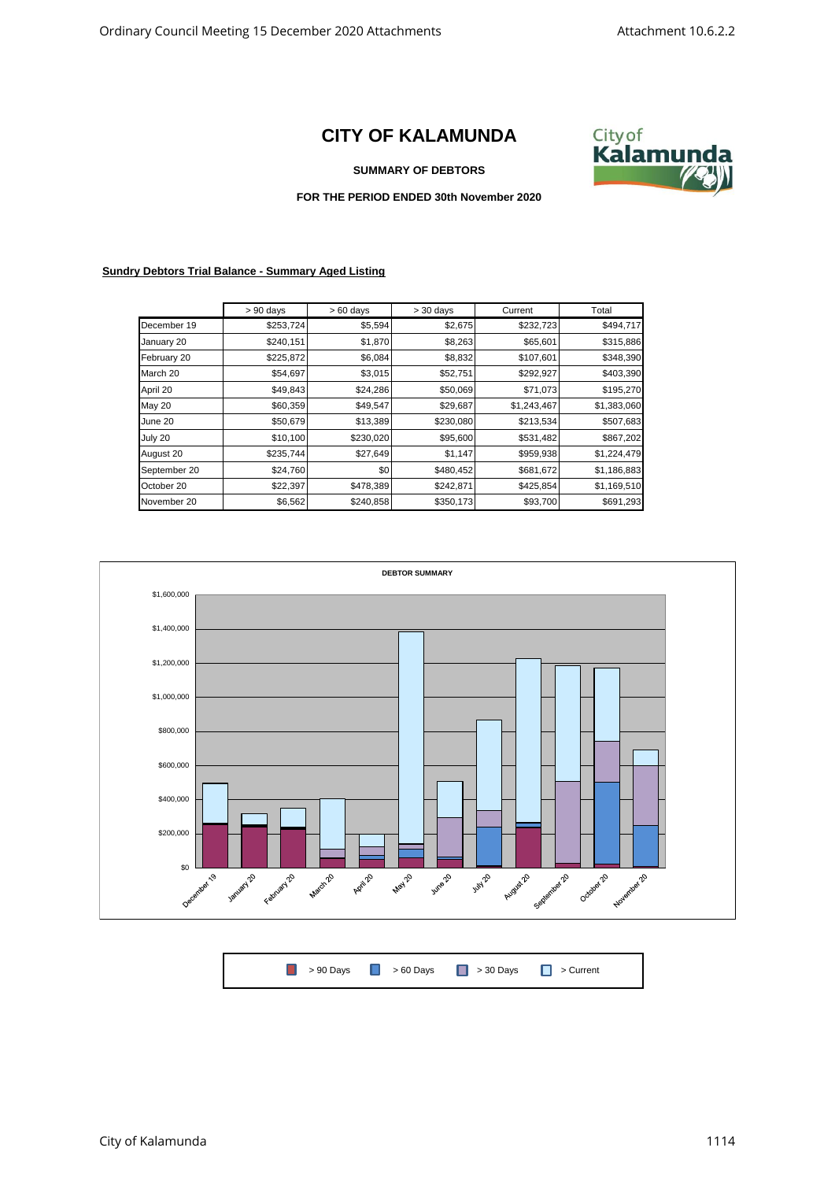## **CITY OF KALAMUNDA**



## **SUMMARY OF DEBTORS**

## **FOR THE PERIOD ENDED 30th November 2020**

## **Sundry Debtors Trial Balance - Summary Aged Listing**

|               | $> 90$ days | $>60$ days | $>$ 30 days | Current     | Total       |
|---------------|-------------|------------|-------------|-------------|-------------|
| December 19   | \$253,724   | \$5,594    | \$2,675     | \$232,723   | \$494,717   |
| January 20    | \$240,151   | \$1,870    | \$8,263     | \$65,601    | \$315,886   |
| February 20   | \$225,872   | \$6,084    | \$8,832     | \$107,601   | \$348,390   |
| March 20      | \$54,697    | \$3,015    | \$52,751    | \$292,927   | \$403,390   |
| April 20      | \$49,843    | \$24,286   | \$50,069    | \$71,073    | \$195,270   |
| <b>May 20</b> | \$60,359    | \$49,547   | \$29,687    | \$1,243,467 | \$1,383,060 |
| June 20       | \$50,679    | \$13,389   | \$230,080   | \$213,534   | \$507,683   |
| July 20       | \$10,100    | \$230,020  | \$95,600    | \$531,482   | \$867,202   |
| August 20     | \$235,744   | \$27,649   | \$1,147     | \$959,938   | \$1,224,479 |
| September 20  | \$24,760    | \$0        | \$480,452   | \$681,672   | \$1,186,883 |
| October 20    | \$22,397    | \$478,389  | \$242,871   | \$425,854   | \$1,169,510 |
| November 20   | \$6,562     | \$240,858  | \$350,173   | \$93,700    | \$691,293   |



|--|